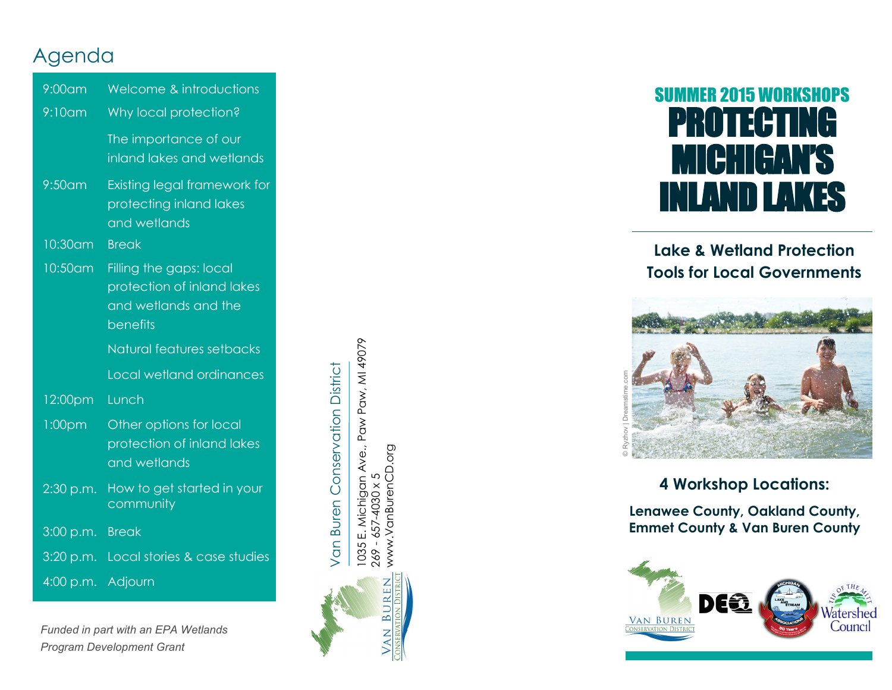# Agenda

| 9:00am    | Welcome & introductions                                                                          |
|-----------|--------------------------------------------------------------------------------------------------|
| $9:10$ am | Why local protection?                                                                            |
|           | The importance of our<br>inland lakes and wetlands                                               |
| $9:50$ am | Existing legal framework for<br>protecting inland lakes<br>and wetlands                          |
| 10:30 am  | <b>Break</b>                                                                                     |
| 10:50am   | Filling the gaps: local<br>profection of inland lakes<br>and wetlands and the<br><b>benefits</b> |
|           |                                                                                                  |
|           | Natural features setbacks                                                                        |
|           | Local wetland ordinances                                                                         |
| 12:00pm   | Lunch                                                                                            |
| 1:00pm    | Other options for local<br>protection of inland lakes<br>and wetlands                            |
| 2:30 p.m. | How to get started in your<br>community                                                          |
| 3:00 p.m. | <b>Break</b>                                                                                     |
| 3:20 p.m. | Local stories & case studies                                                                     |

*Funded in part with an EPA Wetlands Program Development Grant*

Van Buren Conservation District Van Buren Conservation District



# SUMMER 2015 WORKSHOPS PROTECTING MICHIGAN'S LAND LAKES

#### **Lake & Wetland Protection Tools for Local Governments**



#### **4 Workshop Locations:**

**Lenawee County, Oakland County, Emmet County & Van Buren County**